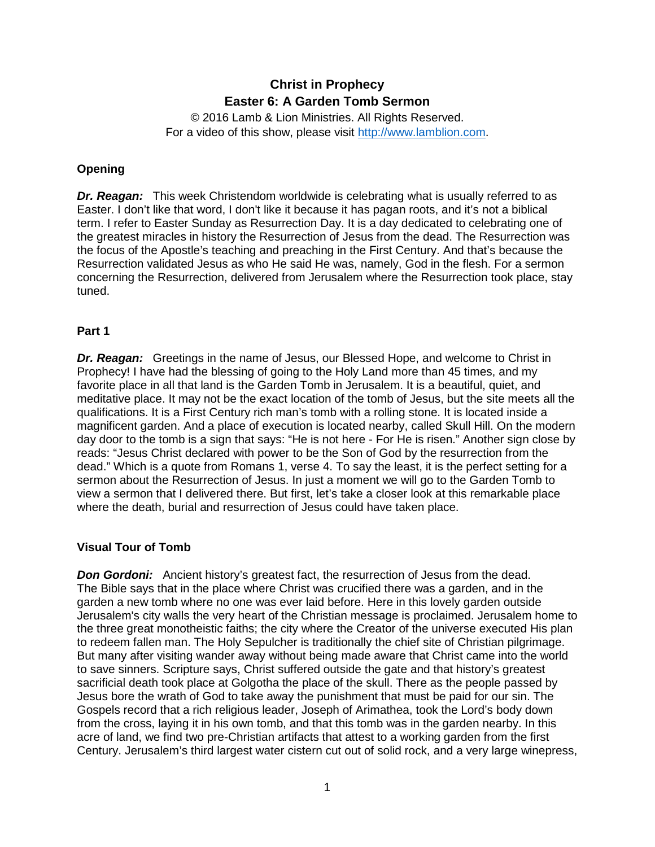# **Christ in Prophecy Easter 6: A Garden Tomb Sermon**

© 2016 Lamb & Lion Ministries. All Rights Reserved. For a video of this show, please visit [http://www.lamblion.com.](http://www.lamblion.com/)

## **Opening**

*Dr. Reagan:* This week Christendom worldwide is celebrating what is usually referred to as Easter. I don't like that word, I don't like it because it has pagan roots, and it's not a biblical term. I refer to Easter Sunday as Resurrection Day. It is a day dedicated to celebrating one of the greatest miracles in history the Resurrection of Jesus from the dead. The Resurrection was the focus of the Apostle's teaching and preaching in the First Century. And that's because the Resurrection validated Jesus as who He said He was, namely, God in the flesh. For a sermon concerning the Resurrection, delivered from Jerusalem where the Resurrection took place, stay tuned.

### **Part 1**

**Dr. Reagan:** Greetings in the name of Jesus, our Blessed Hope, and welcome to Christ in Prophecy! I have had the blessing of going to the Holy Land more than 45 times, and my favorite place in all that land is the Garden Tomb in Jerusalem. It is a beautiful, quiet, and meditative place. It may not be the exact location of the tomb of Jesus, but the site meets all the qualifications. It is a First Century rich man's tomb with a rolling stone. It is located inside a magnificent garden. And a place of execution is located nearby, called Skull Hill. On the modern day door to the tomb is a sign that says: "He is not here - For He is risen." Another sign close by reads: "Jesus Christ declared with power to be the Son of God by the resurrection from the dead." Which is a quote from Romans 1, verse 4. To say the least, it is the perfect setting for a sermon about the Resurrection of Jesus. In just a moment we will go to the Garden Tomb to view a sermon that I delivered there. But first, let's take a closer look at this remarkable place where the death, burial and resurrection of Jesus could have taken place.

## **Visual Tour of Tomb**

**Don Gordoni:** Ancient history's greatest fact, the resurrection of Jesus from the dead. The Bible says that in the place where Christ was crucified there was a garden, and in the garden a new tomb where no one was ever laid before. Here in this lovely garden outside Jerusalem's city walls the very heart of the Christian message is proclaimed. Jerusalem home to the three great monotheistic faiths; the city where the Creator of the universe executed His plan to redeem fallen man. The Holy Sepulcher is traditionally the chief site of Christian pilgrimage. But many after visiting wander away without being made aware that Christ came into the world to save sinners. Scripture says, Christ suffered outside the gate and that history's greatest sacrificial death took place at Golgotha the place of the skull. There as the people passed by Jesus bore the wrath of God to take away the punishment that must be paid for our sin. The Gospels record that a rich religious leader, Joseph of Arimathea, took the Lord's body down from the cross, laying it in his own tomb, and that this tomb was in the garden nearby. In this acre of land, we find two pre-Christian artifacts that attest to a working garden from the first Century. Jerusalem's third largest water cistern cut out of solid rock, and a very large winepress,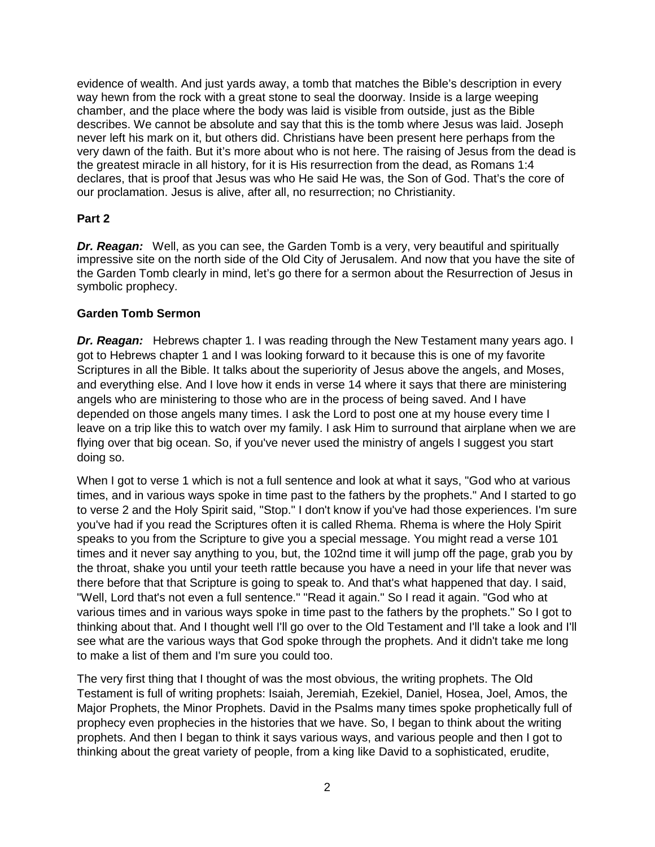evidence of wealth. And just yards away, a tomb that matches the Bible's description in every way hewn from the rock with a great stone to seal the doorway. Inside is a large weeping chamber, and the place where the body was laid is visible from outside, just as the Bible describes. We cannot be absolute and say that this is the tomb where Jesus was laid. Joseph never left his mark on it, but others did. Christians have been present here perhaps from the very dawn of the faith. But it's more about who is not here. The raising of Jesus from the dead is the greatest miracle in all history, for it is His resurrection from the dead, as Romans 1:4 declares, that is proof that Jesus was who He said He was, the Son of God. That's the core of our proclamation. Jesus is alive, after all, no resurrection; no Christianity.

# **Part 2**

*Dr. Reagan:* Well, as you can see, the Garden Tomb is a very, very beautiful and spiritually impressive site on the north side of the Old City of Jerusalem. And now that you have the site of the Garden Tomb clearly in mind, let's go there for a sermon about the Resurrection of Jesus in symbolic prophecy.

## **Garden Tomb Sermon**

**Dr. Reagan:** Hebrews chapter 1. I was reading through the New Testament many years ago. I got to Hebrews chapter 1 and I was looking forward to it because this is one of my favorite Scriptures in all the Bible. It talks about the superiority of Jesus above the angels, and Moses, and everything else. And I love how it ends in verse 14 where it says that there are ministering angels who are ministering to those who are in the process of being saved. And I have depended on those angels many times. I ask the Lord to post one at my house every time I leave on a trip like this to watch over my family. I ask Him to surround that airplane when we are flying over that big ocean. So, if you've never used the ministry of angels I suggest you start doing so.

When I got to verse 1 which is not a full sentence and look at what it says, "God who at various" times, and in various ways spoke in time past to the fathers by the prophets." And I started to go to verse 2 and the Holy Spirit said, "Stop." I don't know if you've had those experiences. I'm sure you've had if you read the Scriptures often it is called Rhema. Rhema is where the Holy Spirit speaks to you from the Scripture to give you a special message. You might read a verse 101 times and it never say anything to you, but, the 102nd time it will jump off the page, grab you by the throat, shake you until your teeth rattle because you have a need in your life that never was there before that that Scripture is going to speak to. And that's what happened that day. I said, "Well, Lord that's not even a full sentence." "Read it again." So I read it again. "God who at various times and in various ways spoke in time past to the fathers by the prophets." So I got to thinking about that. And I thought well I'll go over to the Old Testament and I'll take a look and I'll see what are the various ways that God spoke through the prophets. And it didn't take me long to make a list of them and I'm sure you could too.

The very first thing that I thought of was the most obvious, the writing prophets. The Old Testament is full of writing prophets: Isaiah, Jeremiah, Ezekiel, Daniel, Hosea, Joel, Amos, the Major Prophets, the Minor Prophets. David in the Psalms many times spoke prophetically full of prophecy even prophecies in the histories that we have. So, I began to think about the writing prophets. And then I began to think it says various ways, and various people and then I got to thinking about the great variety of people, from a king like David to a sophisticated, erudite,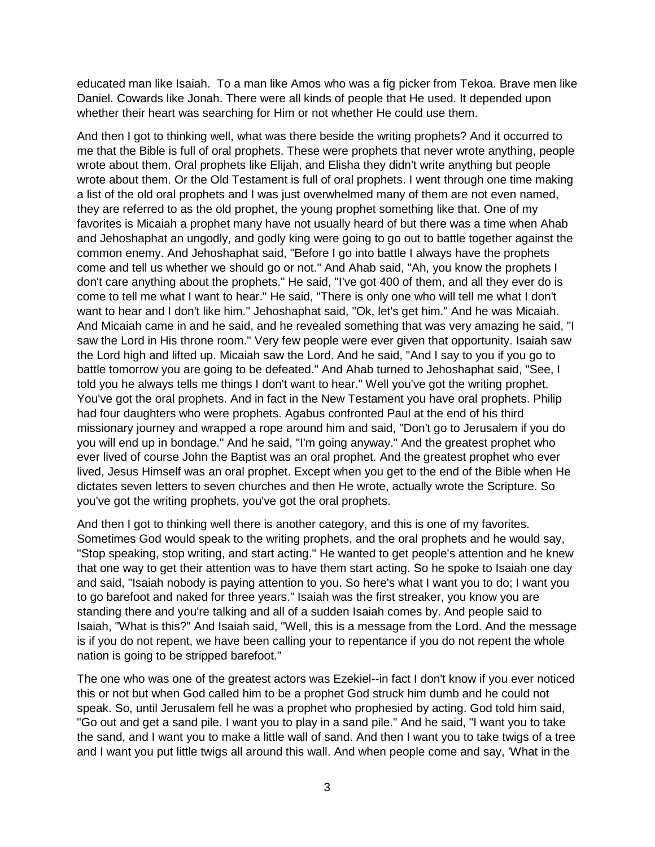educated man like Isaiah. To a man like Amos who was a fig picker from Tekoa. Brave men like Daniel. Cowards like Jonah. There were all kinds of people that He used. It depended upon whether their heart was searching for Him or not whether He could use them.

And then I got to thinking well, what was there beside the writing prophets? And it occurred to me that the Bible is full of oral prophets. These were prophets that never wrote anything, people wrote about them. Oral prophets like Elijah, and Elisha they didn't write anything but people wrote about them. Or the Old Testament is full of oral prophets. I went through one time making a list of the old oral prophets and I was just overwhelmed many of them are not even named, they are referred to as the old prophet, the young prophet something like that. One of my favorites is Micaiah a prophet many have not usually heard of but there was a time when Ahab and Jehoshaphat an ungodly, and godly king were going to go out to battle together against the common enemy. And Jehoshaphat said, "Before I go into battle I always have the prophets come and tell us whether we should go or not." And Ahab said, "Ah, you know the prophets I don't care anything about the prophets." He said, "I've got 400 of them, and all they ever do is come to tell me what I want to hear." He said, "There is only one who will tell me what I don't want to hear and I don't like him." Jehoshaphat said, "Ok, let's get him." And he was Micaiah. And Micaiah came in and he said, and he revealed something that was very amazing he said, "I saw the Lord in His throne room." Very few people were ever given that opportunity. Isaiah saw the Lord high and lifted up. Micaiah saw the Lord. And he said, "And I say to you if you go to battle tomorrow you are going to be defeated." And Ahab turned to Jehoshaphat said, "See, I told you he always tells me things I don't want to hear." Well you've got the writing prophet. You've got the oral prophets. And in fact in the New Testament you have oral prophets. Philip had four daughters who were prophets. Agabus confronted Paul at the end of his third missionary journey and wrapped a rope around him and said, "Don't go to Jerusalem if you do you will end up in bondage." And he said, "I'm going anyway." And the greatest prophet who ever lived of course John the Baptist was an oral prophet. And the greatest prophet who ever lived, Jesus Himself was an oral prophet. Except when you get to the end of the Bible when He dictates seven letters to seven churches and then He wrote, actually wrote the Scripture. So you've got the writing prophets, you've got the oral prophets.

And then I got to thinking well there is another category, and this is one of my favorites. Sometimes God would speak to the writing prophets, and the oral prophets and he would say, "Stop speaking, stop writing, and start acting." He wanted to get people's attention and he knew that one way to get their attention was to have them start acting. So he spoke to Isaiah one day and said, "Isaiah nobody is paying attention to you. So here's what I want you to do; I want you to go barefoot and naked for three years." Isaiah was the first streaker, you know you are standing there and you're talking and all of a sudden Isaiah comes by. And people said to Isaiah, "What is this?" And Isaiah said, "Well, this is a message from the Lord. And the message is if you do not repent, we have been calling your to repentance if you do not repent the whole nation is going to be stripped barefoot."

The one who was one of the greatest actors was Ezekiel--in fact I don't know if you ever noticed this or not but when God called him to be a prophet God struck him dumb and he could not speak. So, until Jerusalem fell he was a prophet who prophesied by acting. God told him said, "Go out and get a sand pile. I want you to play in a sand pile." And he said, "I want you to take the sand, and I want you to make a little wall of sand. And then I want you to take twigs of a tree and I want you put little twigs all around this wall. And when people come and say, 'What in the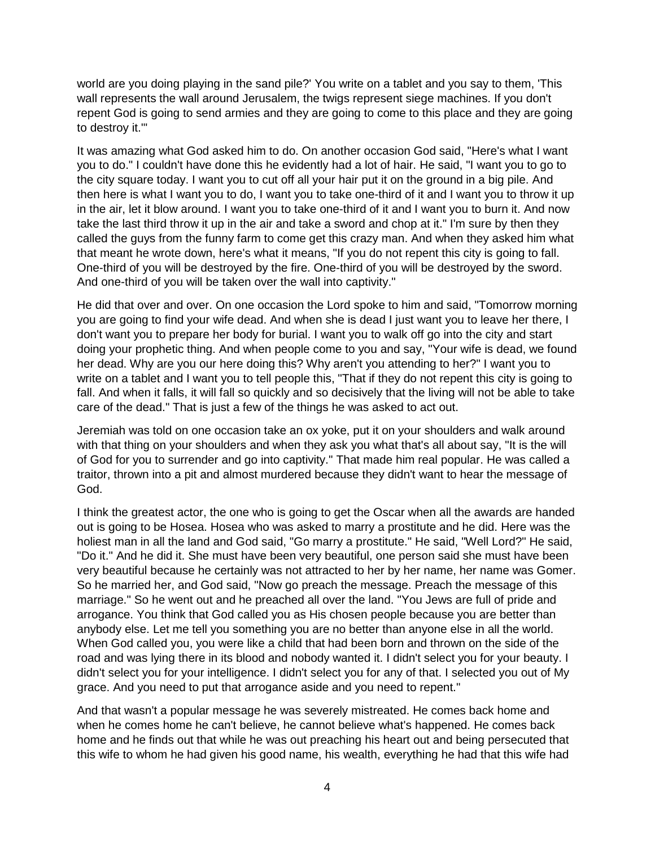world are you doing playing in the sand pile?' You write on a tablet and you say to them, 'This wall represents the wall around Jerusalem, the twigs represent siege machines. If you don't repent God is going to send armies and they are going to come to this place and they are going to destroy it.'"

It was amazing what God asked him to do. On another occasion God said, "Here's what I want you to do." I couldn't have done this he evidently had a lot of hair. He said, "I want you to go to the city square today. I want you to cut off all your hair put it on the ground in a big pile. And then here is what I want you to do, I want you to take one-third of it and I want you to throw it up in the air, let it blow around. I want you to take one-third of it and I want you to burn it. And now take the last third throw it up in the air and take a sword and chop at it." I'm sure by then they called the guys from the funny farm to come get this crazy man. And when they asked him what that meant he wrote down, here's what it means, "If you do not repent this city is going to fall. One-third of you will be destroyed by the fire. One-third of you will be destroyed by the sword. And one-third of you will be taken over the wall into captivity."

He did that over and over. On one occasion the Lord spoke to him and said, "Tomorrow morning you are going to find your wife dead. And when she is dead I just want you to leave her there, I don't want you to prepare her body for burial. I want you to walk off go into the city and start doing your prophetic thing. And when people come to you and say, "Your wife is dead, we found her dead. Why are you our here doing this? Why aren't you attending to her?" I want you to write on a tablet and I want you to tell people this, "That if they do not repent this city is going to fall. And when it falls, it will fall so quickly and so decisively that the living will not be able to take care of the dead." That is just a few of the things he was asked to act out.

Jeremiah was told on one occasion take an ox yoke, put it on your shoulders and walk around with that thing on your shoulders and when they ask you what that's all about say, "It is the will of God for you to surrender and go into captivity." That made him real popular. He was called a traitor, thrown into a pit and almost murdered because they didn't want to hear the message of God.

I think the greatest actor, the one who is going to get the Oscar when all the awards are handed out is going to be Hosea. Hosea who was asked to marry a prostitute and he did. Here was the holiest man in all the land and God said, "Go marry a prostitute." He said, "Well Lord?" He said, "Do it." And he did it. She must have been very beautiful, one person said she must have been very beautiful because he certainly was not attracted to her by her name, her name was Gomer. So he married her, and God said, "Now go preach the message. Preach the message of this marriage." So he went out and he preached all over the land. "You Jews are full of pride and arrogance. You think that God called you as His chosen people because you are better than anybody else. Let me tell you something you are no better than anyone else in all the world. When God called you, you were like a child that had been born and thrown on the side of the road and was lying there in its blood and nobody wanted it. I didn't select you for your beauty. I didn't select you for your intelligence. I didn't select you for any of that. I selected you out of My grace. And you need to put that arrogance aside and you need to repent."

And that wasn't a popular message he was severely mistreated. He comes back home and when he comes home he can't believe, he cannot believe what's happened. He comes back home and he finds out that while he was out preaching his heart out and being persecuted that this wife to whom he had given his good name, his wealth, everything he had that this wife had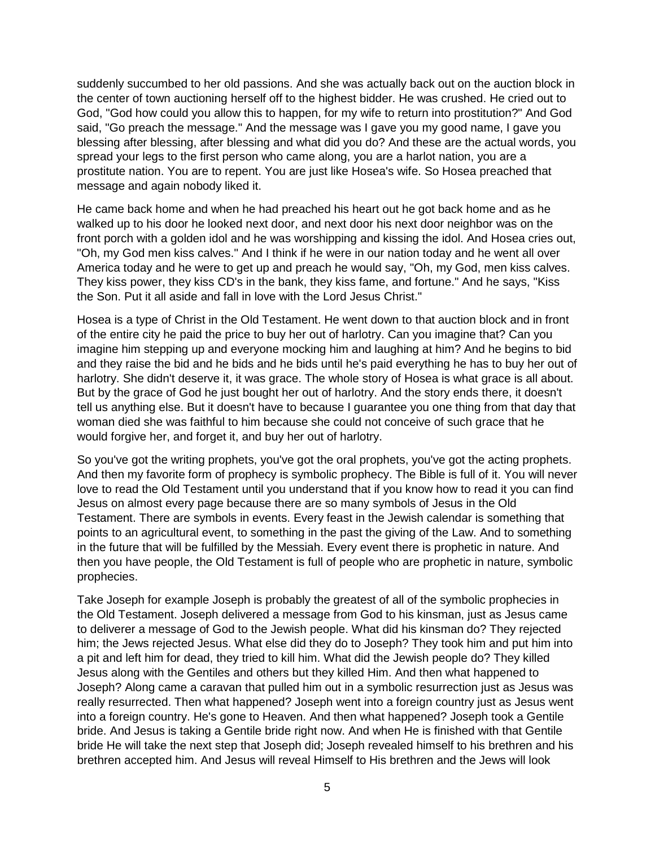suddenly succumbed to her old passions. And she was actually back out on the auction block in the center of town auctioning herself off to the highest bidder. He was crushed. He cried out to God, "God how could you allow this to happen, for my wife to return into prostitution?" And God said, "Go preach the message." And the message was I gave you my good name, I gave you blessing after blessing, after blessing and what did you do? And these are the actual words, you spread your legs to the first person who came along, you are a harlot nation, you are a prostitute nation. You are to repent. You are just like Hosea's wife. So Hosea preached that message and again nobody liked it.

He came back home and when he had preached his heart out he got back home and as he walked up to his door he looked next door, and next door his next door neighbor was on the front porch with a golden idol and he was worshipping and kissing the idol. And Hosea cries out, "Oh, my God men kiss calves." And I think if he were in our nation today and he went all over America today and he were to get up and preach he would say, "Oh, my God, men kiss calves. They kiss power, they kiss CD's in the bank, they kiss fame, and fortune." And he says, "Kiss the Son. Put it all aside and fall in love with the Lord Jesus Christ."

Hosea is a type of Christ in the Old Testament. He went down to that auction block and in front of the entire city he paid the price to buy her out of harlotry. Can you imagine that? Can you imagine him stepping up and everyone mocking him and laughing at him? And he begins to bid and they raise the bid and he bids and he bids until he's paid everything he has to buy her out of harlotry. She didn't deserve it, it was grace. The whole story of Hosea is what grace is all about. But by the grace of God he just bought her out of harlotry. And the story ends there, it doesn't tell us anything else. But it doesn't have to because I guarantee you one thing from that day that woman died she was faithful to him because she could not conceive of such grace that he would forgive her, and forget it, and buy her out of harlotry.

So you've got the writing prophets, you've got the oral prophets, you've got the acting prophets. And then my favorite form of prophecy is symbolic prophecy. The Bible is full of it. You will never love to read the Old Testament until you understand that if you know how to read it you can find Jesus on almost every page because there are so many symbols of Jesus in the Old Testament. There are symbols in events. Every feast in the Jewish calendar is something that points to an agricultural event, to something in the past the giving of the Law. And to something in the future that will be fulfilled by the Messiah. Every event there is prophetic in nature. And then you have people, the Old Testament is full of people who are prophetic in nature, symbolic prophecies.

Take Joseph for example Joseph is probably the greatest of all of the symbolic prophecies in the Old Testament. Joseph delivered a message from God to his kinsman, just as Jesus came to deliverer a message of God to the Jewish people. What did his kinsman do? They rejected him; the Jews rejected Jesus. What else did they do to Joseph? They took him and put him into a pit and left him for dead, they tried to kill him. What did the Jewish people do? They killed Jesus along with the Gentiles and others but they killed Him. And then what happened to Joseph? Along came a caravan that pulled him out in a symbolic resurrection just as Jesus was really resurrected. Then what happened? Joseph went into a foreign country just as Jesus went into a foreign country. He's gone to Heaven. And then what happened? Joseph took a Gentile bride. And Jesus is taking a Gentile bride right now. And when He is finished with that Gentile bride He will take the next step that Joseph did; Joseph revealed himself to his brethren and his brethren accepted him. And Jesus will reveal Himself to His brethren and the Jews will look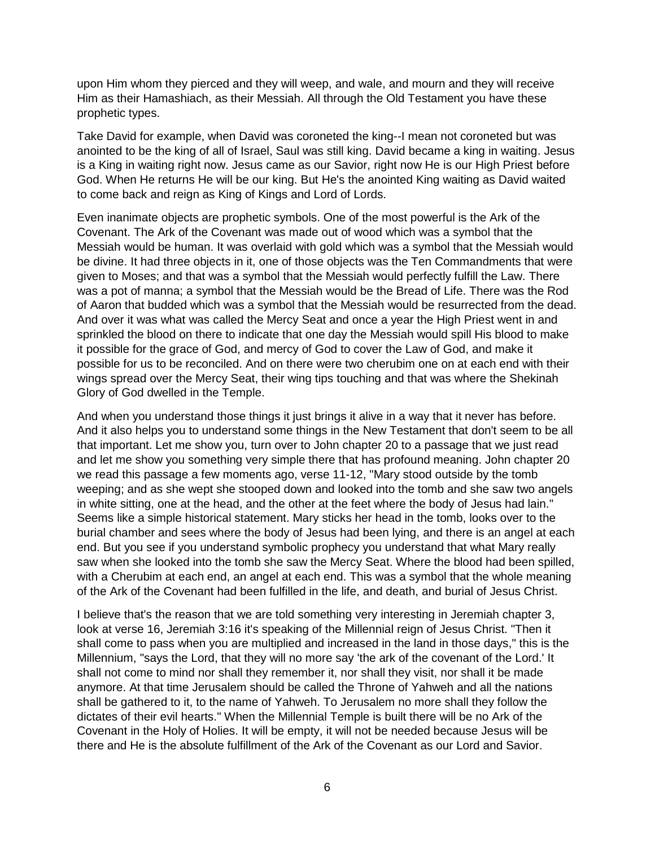upon Him whom they pierced and they will weep, and wale, and mourn and they will receive Him as their Hamashiach, as their Messiah. All through the Old Testament you have these prophetic types.

Take David for example, when David was coroneted the king--I mean not coroneted but was anointed to be the king of all of Israel, Saul was still king. David became a king in waiting. Jesus is a King in waiting right now. Jesus came as our Savior, right now He is our High Priest before God. When He returns He will be our king. But He's the anointed King waiting as David waited to come back and reign as King of Kings and Lord of Lords.

Even inanimate objects are prophetic symbols. One of the most powerful is the Ark of the Covenant. The Ark of the Covenant was made out of wood which was a symbol that the Messiah would be human. It was overlaid with gold which was a symbol that the Messiah would be divine. It had three objects in it, one of those objects was the Ten Commandments that were given to Moses; and that was a symbol that the Messiah would perfectly fulfill the Law. There was a pot of manna; a symbol that the Messiah would be the Bread of Life. There was the Rod of Aaron that budded which was a symbol that the Messiah would be resurrected from the dead. And over it was what was called the Mercy Seat and once a year the High Priest went in and sprinkled the blood on there to indicate that one day the Messiah would spill His blood to make it possible for the grace of God, and mercy of God to cover the Law of God, and make it possible for us to be reconciled. And on there were two cherubim one on at each end with their wings spread over the Mercy Seat, their wing tips touching and that was where the Shekinah Glory of God dwelled in the Temple.

And when you understand those things it just brings it alive in a way that it never has before. And it also helps you to understand some things in the New Testament that don't seem to be all that important. Let me show you, turn over to John chapter 20 to a passage that we just read and let me show you something very simple there that has profound meaning. John chapter 20 we read this passage a few moments ago, verse 11-12, "Mary stood outside by the tomb weeping; and as she wept she stooped down and looked into the tomb and she saw two angels in white sitting, one at the head, and the other at the feet where the body of Jesus had lain." Seems like a simple historical statement. Mary sticks her head in the tomb, looks over to the burial chamber and sees where the body of Jesus had been lying, and there is an angel at each end. But you see if you understand symbolic prophecy you understand that what Mary really saw when she looked into the tomb she saw the Mercy Seat. Where the blood had been spilled, with a Cherubim at each end, an angel at each end. This was a symbol that the whole meaning of the Ark of the Covenant had been fulfilled in the life, and death, and burial of Jesus Christ.

I believe that's the reason that we are told something very interesting in Jeremiah chapter 3, look at verse 16, Jeremiah 3:16 it's speaking of the Millennial reign of Jesus Christ. "Then it shall come to pass when you are multiplied and increased in the land in those days," this is the Millennium, "says the Lord, that they will no more say 'the ark of the covenant of the Lord.' It shall not come to mind nor shall they remember it, nor shall they visit, nor shall it be made anymore. At that time Jerusalem should be called the Throne of Yahweh and all the nations shall be gathered to it, to the name of Yahweh. To Jerusalem no more shall they follow the dictates of their evil hearts." When the Millennial Temple is built there will be no Ark of the Covenant in the Holy of Holies. It will be empty, it will not be needed because Jesus will be there and He is the absolute fulfillment of the Ark of the Covenant as our Lord and Savior.